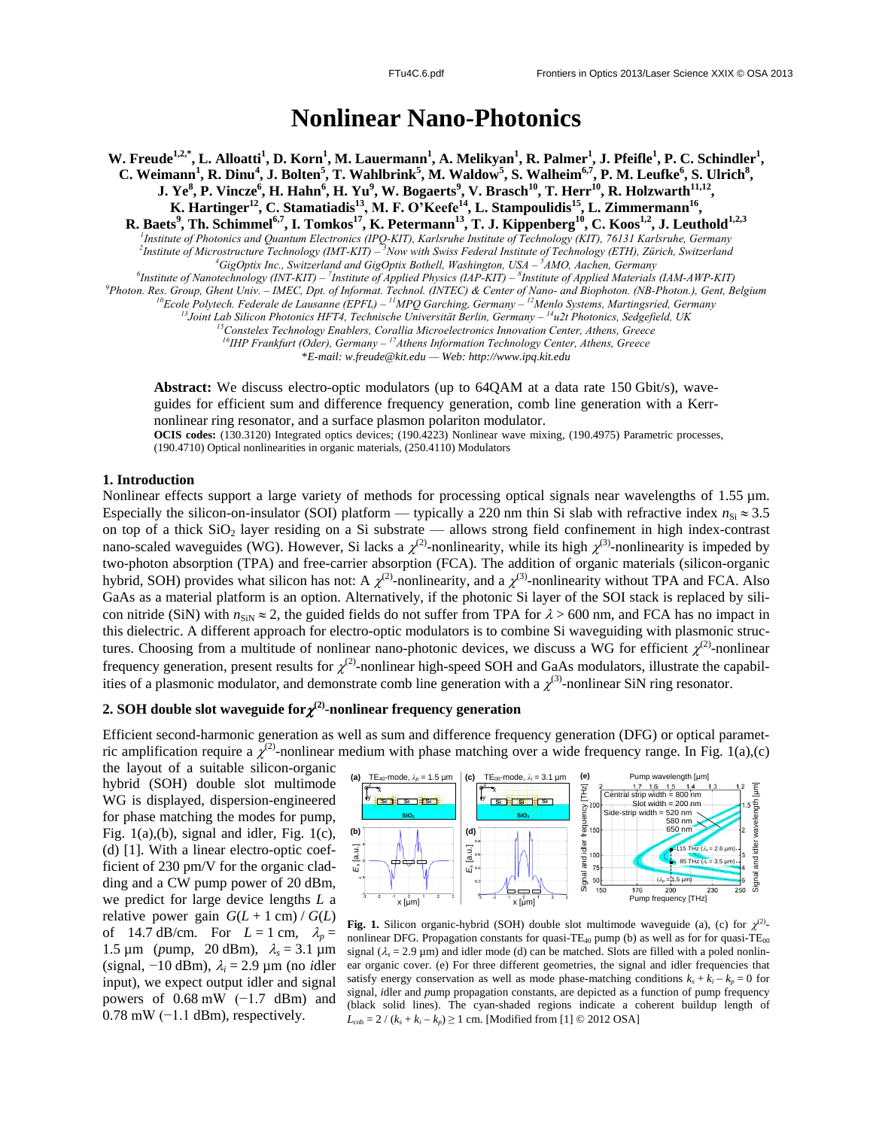# **Nonlinear Nano-Photonics**

W. Freude<sup>1,2,\*</sup>, L. Alloatti<sup>1</sup>, D. Korn<sup>1</sup>, M. Lauermann<sup>1</sup>, A. Melikyan<sup>1</sup>, R. Palmer<sup>1</sup>, J. Pfeifle<sup>1</sup>, P. C. Schindler<sup>1</sup>, C. Weimann<sup>1</sup>, R. Dinu<sup>4</sup>, J. Bolten<sup>5</sup>, T. Wahlbrink<sup>5</sup>, M. Waldow<sup>5</sup>, S. Walheim<sup>6,7</sup>, P. M. Leufke<sup>6</sup>, S. Ulrich<sup>8</sup>, J. Ye $^8$ , P. Vincze $^6$ , H. Hahn $^6$ , H. Yu $^9$ , W. Bogaerts $^9$ , V. Brasch $^{10}$ , T. Herr $^{10}$ , R. Holzwarth $^{11,12}$ **, K. Hartinger<sup>12</sup> , C. Stamatiadis<sup>13</sup> , M. F. O'Keefe<sup>14</sup> , L. Stampoulidis<sup>15</sup> , L. Zimmermann<sup>16</sup> ,**

**R. Baets<sup>9</sup>, Th. Schimmel<sup>6,7</sup>, I. Tomkos<sup>17</sup>, <b>K. Petermann<sup>13</sup>, T. J. Kippenberg**<sup>10</sup>, C. Koos<sup>1,2</sup>, J. Leuthold<sup>1,2,3</sup><br><sup>1</sup>Institute of Photonics and Quantum Electronics (IPQ-KIT), Karlsruhe Institute of Technology (KI *2 Institute of Microstructure Technology (IMT-KIT) – <sup>3</sup>Now with Swiss Federal Institute of Technology (ETH), Zürich, Switzerland <sup>4</sup>GigOptix Inc., Switzerland and GigOptix Bothell, Washington, USA – <sup>5</sup>AMO, Aachen, Germany*

<sup>6</sup>Institute of Nanotechnology (INT-KIT) - <sup>7</sup>Institute of Applied Physics (IAP-KIT) - <sup>8</sup>Institute of Applied Materials (IAM-AWP-KIT)

*<sup>9</sup>Photon. Res. Group, Ghent Univ. – IMEC, Dpt. of Informat. Technol. (INTEC) & Center of Nano- and Biophoton. (NB-Photon.), Gent, Belgium*

*<sup>10</sup>Ecole Polytech. Federale de Lausanne (EPFL) – <sup>11</sup>MPQ Garching, Germany – <sup>12</sup>Menlo Systems, Martingsried, Germany*

*<sup>13</sup>Joint Lab Silicon Photonics HFT4, Technische Universität Berlin, Germany – <sup>14</sup>u2t Photonics, Sedgefield, UK*

*<sup>15</sup>Constelex Technology Enablers, Corallia Microelectronics Innovation Center, Athens, Greece*

*<sup>16</sup>IHP Frankfurt (Oder), Germany – <sup>17</sup>Athens Information Technology Center, Athens, Greece*

\**E-mail: w.freude@kit.edu — Web: http://www.ipq.kit.edu*

**Abstract:** We discuss electro-optic modulators (up to 64QAM at a data rate 150 Gbit/s), waveguides for efficient sum and difference frequency generation, comb line generation with a Kerrnonlinear ring resonator, and a surface plasmon polariton modulator.

**OCIS codes:** (130.3120) Integrated optics devices; (190.4223) Nonlinear wave mixing, (190.4975) Parametric processes, (190.4710) Optical nonlinearities in organic materials, (250.4110) Modulators

#### **1. Introduction**

Nonlinear effects support a large variety of methods for processing optical signals near wavelengths of 1.55  $\mu$ m. Especially the silicon-on-insulator (SOI) platform — typically a 220 nm thin Si slab with refractive index  $n_{\rm Si} \approx 3.5$ on top of a thick  $SiO<sub>2</sub>$  layer residing on a Si substrate — allows strong field confinement in high index-contrast nano-scaled waveguides (WG). However, Si lacks a  $\chi^{(2)}$ -nonlinearity, while its high  $\chi^{(3)}$ -nonlinearity is impeded by two-photon absorption (TPA) and free-carrier absorption (FCA). The addition of organic materials (silicon-organic hybrid, SOH) provides what silicon has not: A  $\chi^{(2)}$ -nonlinearity, and a  $\chi^{(3)}$ -nonlinearity without TPA and FCA. Also GaAs as a material platform is an option. Alternatively, if the photonic Si layer of the SOI stack is replaced by silicon nitride (SiN) with  $n_{\text{SN}} \approx 2$ , the guided fields do not suffer from TPA for  $\lambda > 600$  nm, and FCA has no impact in this dielectric. A different approach for electro-optic modulators is to combine Si waveguiding with plasmonic structures. Choosing from a multitude of nonlinear nano-photonic devices, we discuss a WG for efficient  $\chi^{(2)}$ -nonlinear frequency generation, present results for  $\chi^{(2)}$ -nonlinear high-speed SOH and GaAs modulators, illustrate the capabilities of a plasmonic modulator, and demonstrate comb line generation with a  $\chi^{(3)}$ -nonlinear SiN ring resonator.

## $2. \text{ SOH}$  double slot waveguide for $\chi^{(2)}$ -nonlinear frequency generation

Efficient second-harmonic generation as well as sum and difference frequency generation (DFG) or optical parametric amplification require a  $\chi^{(2)}$ -nonlinear medium with phase matching over a wide frequency range. In Fig. 1(a),(c)

the layout of a suitable silicon-organic hybrid (SOH) double slot multimode WG is displayed, dispersion-engineered for phase matching the modes for pump, Fig.  $1(a)$ ,  $(b)$ , signal and idler, Fig.  $1(c)$ , (d) [1]. With a linear electro-optic coefficient of 230 pm/V for the organic cladding and a CW pump power of 20 dBm, we predict for large device lengths *L* a relative power gain  $G(L + 1 \text{ cm}) / G(L)$ of 14.7 dB/cm. For  $L = 1$  cm,  $\lambda_p =$ 1.5  $\mu$ m (*pump*, 20 dBm),  $\lambda_s = 3.1 \mu$ m (*s*ignal, −10 dBm), *<sup>i</sup>* = 2.9 µm (no *i*dler input), we expect output idler and signal powers of  $0.68$  mW (−1.7 dBm) and  $0.78$  mW  $(-1.1$  dBm), respectively.



Fig. 1. Silicon organic-hybrid (SOH) double slot multimode waveguide (a), (c) for  $\chi^{(2)}$ nonlinear DFG. Propagation constants for quasi-TE<sub>40</sub> pump (b) as well as for for quasi-TE<sub>00</sub> signal  $(\lambda_s = 2.9 \text{ }\mu\text{m})$  and idler mode (d) can be matched. Slots are filled with a poled nonlinear organic cover. (e) For three different geometries, the signal and idler frequencies that satisfy energy conservation as well as mode phase-matching conditions  $k_s + k_i - k_p = 0$  for *s*ignal, *i*dler and *p*ump propagation constants, are depicted as a function of pump frequency (black solid lines). The cyan-shaded regions indicate a coherent buildup length of  $L_{\text{coh}} = 2 / (k_s + k_i - k_p) \ge 1$  cm. [Modified from [1] © 2012 OSA]